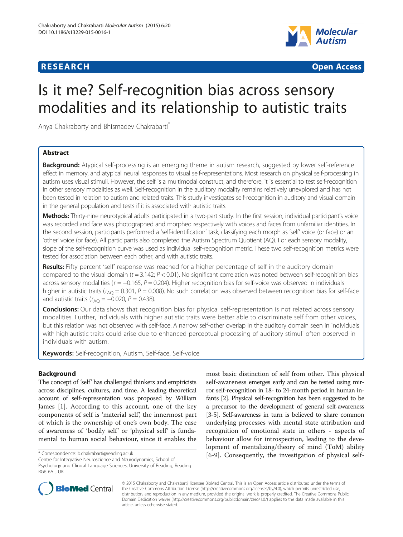# **RESEARCH RESEARCH** *CHECKER CHECKER CHECKER CHECKER CHECKER CHECKER CHECKER CHECKER CHECKER CHECKER*



# Is it me? Self-recognition bias across sensory modalities and its relationship to autistic traits

Anya Chakraborty and Bhismadev Chakrabarti<sup>\*</sup>

# Abstract

Background: Atypical self-processing is an emerging theme in autism research, suggested by lower self-reference effect in memory, and atypical neural responses to visual self-representations. Most research on physical self-processing in autism uses visual stimuli. However, the self is a multimodal construct, and therefore, it is essential to test self-recognition in other sensory modalities as well. Self-recognition in the auditory modality remains relatively unexplored and has not been tested in relation to autism and related traits. This study investigates self-recognition in auditory and visual domain in the general population and tests if it is associated with autistic traits.

Methods: Thirty-nine neurotypical adults participated in a two-part study. In the first session, individual participant's voice was recorded and face was photographed and morphed respectively with voices and faces from unfamiliar identities. In the second session, participants performed a 'self-identification' task, classifying each morph as 'self' voice (or face) or an 'other' voice (or face). All participants also completed the Autism Spectrum Quotient (AQ). For each sensory modality, slope of the self-recognition curve was used as individual self-recognition metric. These two self-recognition metrics were tested for association between each other, and with autistic traits.

Results: Fifty percent 'self' response was reached for a higher percentage of self in the auditory domain compared to the visual domain ( $t = 3.142$ ;  $P < 0.01$ ). No significant correlation was noted between self-recognition bias across sensory modalities ( $\tau = -0.165$ ,  $P = 0.204$ ). Higher recognition bias for self-voice was observed in individuals higher in autistic traits ( $\tau_{AO}$  = 0.301, P = 0.008). No such correlation was observed between recognition bias for self-face and autistic traits ( $\tau_{AQ} = -0.020$ ,  $P = 0.438$ ).

Conclusions: Our data shows that recognition bias for physical self-representation is not related across sensory modalities. Further, individuals with higher autistic traits were better able to discriminate self from other voices, but this relation was not observed with self-face. A narrow self-other overlap in the auditory domain seen in individuals with high autistic traits could arise due to enhanced perceptual processing of auditory stimuli often observed in individuals with autism.

Keywords: Self-recognition, Autism, Self-face, Self-voice

# Background

The concept of 'self' has challenged thinkers and empiricists across disciplines, cultures, and time. A leading theoretical account of self-representation was proposed by William James [[1\]](#page-6-0). According to this account, one of the key components of self is 'material self', the innermost part of which is the ownership of one's own body. The ease of awareness of 'bodily self' or 'physical self' is fundamental to human social behaviour, since it enables the

Centre for Integrative Neuroscience and Neurodynamics, School of Psychology and Clinical Language Sciences, University of Reading, Reading RG6 6AL, UK

most basic distinction of self from other. This physical self-awareness emerges early and can be tested using mirror self-recognition in 18- to 24-month period in human infants [\[2](#page-6-0)]. Physical self-recognition has been suggested to be a precursor to the development of general self-awareness [[3](#page-6-0)-[5](#page-6-0)]. Self-awareness in turn is believed to share common underlying processes with mental state attribution and recognition of emotional state in others - aspects of behaviour allow for introspection, leading to the development of mentalizing/theory of mind (ToM) ability \* Correspondence: b.chakrabarti@reading.ac.uk [[6-9\]](#page-6-0). Consequently, the investigation of physical self-



© 2015 Chakraborty and Chakrabarti; licensee BioMed Central. This is an Open Access article distributed under the terms of the Creative Commons Attribution License [\(http://creativecommons.org/licenses/by/4.0\)](http://creativecommons.org/licenses/by/4.0), which permits unrestricted use, distribution, and reproduction in any medium, provided the original work is properly credited. The Creative Commons Public Domain Dedication waiver [\(http://creativecommons.org/publicdomain/zero/1.0/\)](http://creativecommons.org/publicdomain/zero/1.0/) applies to the data made available in this article, unless otherwise stated.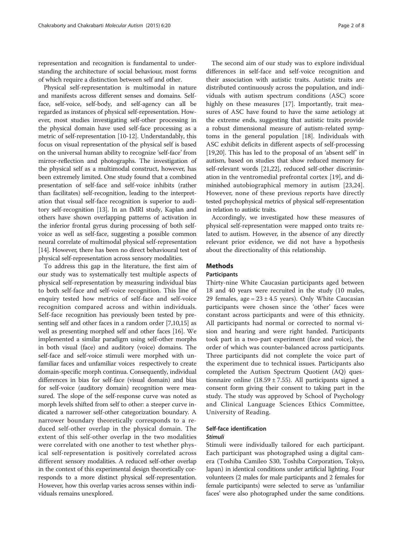representation and recognition is fundamental to understanding the architecture of social behaviour, most forms of which require a distinction between self and other.

Physical self-representation is multimodal in nature and manifests across different senses and domains. Selfface, self-voice, self-body, and self-agency can all be regarded as instances of physical self-representation. However, most studies investigating self-other processing in the physical domain have used self-face processing as a metric of self-representation [[10-12\]](#page-6-0). Understandably, this focus on visual representation of the physical self is based on the universal human ability to recognize 'self-face' from mirror-reflection and photographs. The investigation of the physical self as a multimodal construct, however, has been extremely limited. One study found that a combined presentation of self-face and self-voice inhibits (rather than facilitates) self-recognition, leading to the interpretation that visual self-face recognition is superior to auditory self-recognition [\[13\]](#page-6-0). In an fMRI study, Kaplan and others have shown overlapping patterns of activation in the inferior frontal gyrus during processing of both selfvoice as well as self-face, suggesting a possible common neural correlate of multimodal physical self-representation [[14](#page-6-0)]. However, there has been no direct behavioural test of physical self-representation across sensory modalities.

To address this gap in the literature, the first aim of our study was to systematically test multiple aspects of physical self-representation by measuring individual bias to both self-face and self-voice recognition. This line of enquiry tested how metrics of self-face and self-voice recognition compared across and within individuals. Self-face recognition has previously been tested by presenting self and other faces in a random order [\[7,10,15](#page-6-0)] as well as presenting morphed self and other faces [\[16\]](#page-6-0). We implemented a similar paradigm using self-other morphs in both visual (face) and auditory (voice) domains. The self-face and self-voice stimuli were morphed with unfamiliar faces and unfamiliar voices respectively to create domain-specific morph continua. Consequently, individual differences in bias for self-face (visual domain) and bias for self-voice (auditory domain) recognition were measured. The slope of the self-response curve was noted as morph levels shifted from self to other: a steeper curve indicated a narrower self-other categorization boundary. A narrower boundary theoretically corresponds to a reduced self-other overlap in the physical domain. The extent of this self-other overlap in the two modalities were correlated with one another to test whether physical self-representation is positively correlated across different sensory modalities. A reduced self-other overlap in the context of this experimental design theoretically corresponds to a more distinct physical self-representation. However, how this overlap varies across senses within individuals remains unexplored.

The second aim of our study was to explore individual differences in self-face and self-voice recognition and their association with autistic traits. Autistic traits are distributed continuously across the population, and individuals with autism spectrum conditions (ASC) score highly on these measures [\[17\]](#page-6-0). Importantly, trait measures of ASC have found to have the same aetiology at the extreme ends, suggesting that autistic traits provide a robust dimensional measure of autism-related symptoms in the general population [[18\]](#page-6-0). Individuals with ASC exhibit deficits in different aspects of self-processing [[19](#page-6-0),[20](#page-6-0)]. This has led to the proposal of an 'absent self' in autism, based on studies that show reduced memory for self-relevant words [[21,22](#page-6-0)], reduced self-other discrimination in the ventromedial prefrontal cortex [[19\]](#page-6-0), and diminished autobiographical memory in autism [[23,](#page-6-0)[24](#page-7-0)]. However, none of these previous reports have directly tested psychophysical metrics of physical self-representation in relation to autistic traits.

Accordingly, we investigated how these measures of physical self-representation were mapped onto traits related to autism. However, in the absence of any directly relevant prior evidence, we did not have a hypothesis about the directionality of this relationship.

# Methods

# Participants

Thirty-nine White Caucasian participants aged between 18 and 40 years were recruited in the study (10 males, 29 females, age =  $23 \pm 4.5$  years). Only White Caucasian participants were chosen since the 'other' faces were constant across participants and were of this ethnicity. All participants had normal or corrected to normal vision and hearing and were right handed. Participants took part in a two-part experiment (face and voice), the order of which was counter-balanced across participants. Three participants did not complete the voice part of the experiment due to technical issues. Participants also completed the Autism Spectrum Quotient (AQ) questionnaire online  $(18.59 \pm 7.55)$ . All participants signed a consent form giving their consent to taking part in the study. The study was approved by School of Psychology and Clinical Language Sciences Ethics Committee, University of Reading.

# Self-face identification Stimuli

Stimuli were individually tailored for each participant. Each participant was photographed using a digital camera (Toshiba Camileo S30, Toshiba Corporation, Tokyo, Japan) in identical conditions under artificial lighting. Four volunteers (2 males for male participants and 2 females for female participants) were selected to serve as 'unfamiliar faces' were also photographed under the same conditions.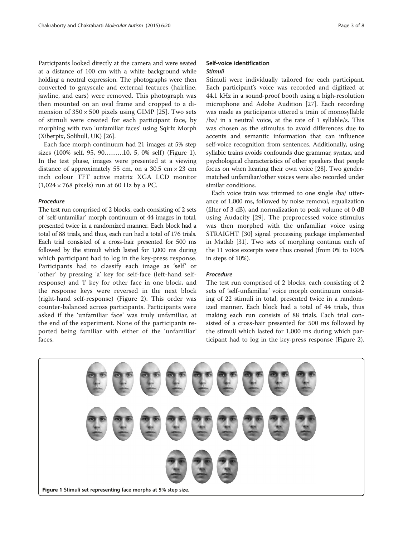<span id="page-2-0"></span>Participants looked directly at the camera and were seated at a distance of 100 cm with a white background while holding a neutral expression. The photographs were then converted to grayscale and external features (hairline, jawline, and ears) were removed. This photograph was then mounted on an oval frame and cropped to a dimension of  $350 \times 500$  pixels using GIMP [\[25](#page-7-0)]. Two sets of stimuli were created for each participant face, by morphing with two 'unfamiliar faces' using Sqirlz Morph (Xiberpix, Solihull, UK) [\[26\]](#page-7-0).

Each face morph continuum had 21 images at 5% step sizes (100% self, 95, 90..........10, 5, 0% self) (Figure 1). In the test phase, images were presented at a viewing distance of approximately 55 cm, on a 30.5 cm  $\times$  23 cm inch colour TFT active matrix XGA LCD monitor  $(1,024 \times 768 \text{ pixels})$  run at 60 Hz by a PC.

# Procedure

The test run comprised of 2 blocks, each consisting of 2 sets of 'self-unfamiliar' morph continuum of 44 images in total, presented twice in a randomized manner. Each block had a total of 88 trials, and thus, each run had a total of 176 trials. Each trial consisted of a cross-hair presented for 500 ms followed by the stimuli which lasted for 1,000 ms during which participant had to log in the key-press response. Participants had to classify each image as 'self' or 'other' by pressing 'a' key for self-face (left-hand selfresponse) and 'l' key for other face in one block, and the response keys were reversed in the next block (right-hand self-response) (Figure [2\)](#page-3-0). This order was counter-balanced across participants. Participants were asked if the 'unfamiliar face' was truly unfamiliar, at the end of the experiment. None of the participants reported being familiar with either of the 'unfamiliar' faces.

# Self-voice identification Stimuli

Stimuli were individually tailored for each participant. Each participant's voice was recorded and digitized at 44.1 kHz in a sound-proof booth using a high-resolution microphone and Adobe Audition [[27\]](#page-7-0). Each recording was made as participants uttered a train of monosyllable /ba/ in a neutral voice, at the rate of 1 syllable/s. This was chosen as the stimulus to avoid differences due to accents and semantic information that can influence self-voice recognition from sentences. Additionally, using syllabic trains avoids confounds due grammar, syntax, and psychological characteristics of other speakers that people focus on when hearing their own voice [[28](#page-7-0)]. Two gendermatched unfamiliar/other voices were also recorded under similar conditions.

Each voice train was trimmed to one single /ba/ utterance of 1,000 ms, followed by noise removal, equalization (filter of 3 dB), and normalization to peak volume of 0 dB using Audacity [[29\]](#page-7-0). The preprocessed voice stimulus was then morphed with the unfamiliar voice using STRAIGHT [[30](#page-7-0)] signal processing package implemented in Matlab [\[31\]](#page-7-0). Two sets of morphing continua each of the 11 voice excerpts were thus created (from 0% to 100% in steps of 10%).

# Procedure

The test run comprised of 2 blocks, each consisting of 2 sets of 'self-unfamiliar' voice morph continuum consisting of 22 stimuli in total, presented twice in a randomized manner. Each block had a total of 44 trials, thus making each run consists of 88 trials. Each trial consisted of a cross-hair presented for 500 ms followed by the stimuli which lasted for 1,000 ms during which participant had to log in the key-press response (Figure [2](#page-3-0)).

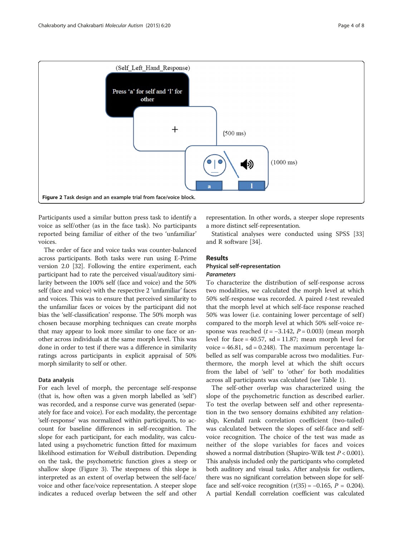<span id="page-3-0"></span>

Participants used a similar button press task to identify a voice as self/other (as in the face task). No participants reported being familiar of either of the two 'unfamiliar' voices.

The order of face and voice tasks was counter-balanced across participants. Both tasks were run using E-Prime version 2.0 [\[32\]](#page-7-0). Following the entire experiment, each participant had to rate the perceived visual/auditory similarity between the 100% self (face and voice) and the 50% self (face and voice) with the respective 2 'unfamiliar' faces and voices. This was to ensure that perceived similarity to the unfamiliar faces or voices by the participant did not bias the 'self-classification' response. The 50% morph was chosen because morphing techniques can create morphs that may appear to look more similar to one face or another across individuals at the same morph level. This was done in order to test if there was a difference in similarity ratings across participants in explicit appraisal of 50% morph similarity to self or other.

# Data analysis

For each level of morph, the percentage self-response (that is, how often was a given morph labelled as 'self') was recorded, and a response curve was generated (separately for face and voice). For each modality, the percentage 'self-response' was normalized within participants, to account for baseline differences in self-recognition. The slope for each participant, for each modality, was calculated using a psychometric function fitted for maximum likelihood estimation for Weibull distribution. Depending on the task, the psychometric function gives a steep or shallow slope (Figure [3\)](#page-4-0). The steepness of this slope is interpreted as an extent of overlap between the self-face/ voice and other face/voice representation. A steeper slope indicates a reduced overlap between the self and other

representation. In other words, a steeper slope represents a more distinct self-representation.

Statistical analyses were conducted using SPSS [[33](#page-7-0)] and R software [\[34\]](#page-7-0).

# Results

## Physical self-representation Parameters

To characterize the distribution of self-response across two modalities, we calculated the morph level at which 50% self-response was recorded. A paired t-test revealed that the morph level at which self-face response reached 50% was lower (i.e. containing lower percentage of self ) compared to the morph level at which 50% self-voice response was reached  $(t = -3.142, P = 0.003)$  (mean morph level for face =  $40.57$ , sd = 11.87; mean morph level for voice =  $46.81$ , sd = 0.248). The maximum percentage labelled as self was comparable across two modalities. Furthermore, the morph level at which the shift occurs from the label of 'self' to 'other' for both modalities across all participants was calculated (see Table [1](#page-4-0)).

The self-other overlap was characterized using the slope of the psychometric function as described earlier. To test the overlap between self and other representation in the two sensory domains exhibited any relationship, Kendall rank correlation coefficient (two-tailed) was calculated between the slopes of self-face and selfvoice recognition. The choice of the test was made as neither of the slope variables for faces and voices showed a normal distribution (Shapiro-Wilk test  $P < 0.001$ ). This analysis included only the participants who completed both auditory and visual tasks. After analysis for outliers, there was no significant correlation between slope for selfface and self-voice recognition  $(\tau(35) = -0.165, P = 0.204)$ . A partial Kendall correlation coefficient was calculated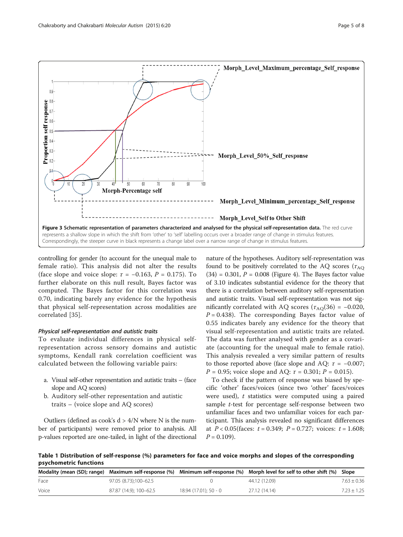<span id="page-4-0"></span>

controlling for gender (to account for the unequal male to female ratio). This analysis did not alter the results (face slope and voice slope:  $\tau = -0.163$ ,  $P = 0.175$ ). To further elaborate on this null result, Bayes factor was computed. The Bayes factor for this correlation was 0.70, indicating barely any evidence for the hypothesis that physical self-representation across modalities are correlated [\[35\]](#page-7-0).

# Physical self-representation and autistic traits

To evaluate individual differences in physical selfrepresentation across sensory domains and autistic symptoms, Kendall rank correlation coefficient was calculated between the following variable pairs:

- a. Visual self-other representation and autistic traits (face slope and AQ scores)
- b. Auditory self-other representation and autistic traits – (voice slope and AQ scores)

Outliers (defined as cook's  $d > 4/N$  where N is the number of participants) were removed prior to analysis. All p-values reported are one-tailed, in light of the directional

nature of the hypotheses. Auditory self-representation was found to be positively correlated to the AQ scores ( $\tau_{AO}$ )  $(34) = 0.301$ ,  $P = 0.008$  (Figure [4\)](#page-5-0). The Bayes factor value of 3.10 indicates substantial evidence for the theory that there is a correlation between auditory self-representation and autistic traits. Visual self-representation was not significantly correlated with AQ scores ( $\tau_{AO}(36) = -0.020$ ,  $P = 0.438$ ). The corresponding Bayes factor value of 0.55 indicates barely any evidence for the theory that visual self-representation and autistic traits are related. The data was further analysed with gender as a covariate (accounting for the unequal male to female ratio). This analysis revealed a very similar pattern of results to those reported above (face slope and AQ:  $\tau = -0.007$ ;  $P = 0.95$ ; voice slope and AQ:  $\tau = 0.301$ ;  $P = 0.015$ ).

To check if the pattern of response was biased by specific 'other' faces/voices (since two 'other' faces/voices were used),  $t$  statistics were computed using a paired sample *t*-test for percentage self-response between two unfamiliar faces and two unfamiliar voices for each participant. This analysis revealed no significant differences at  $P < 0.05$ (faces:  $t = 0.349$ ;  $P = 0.727$ ; voices:  $t = 1.608$ ;  $P = 0.109$ ).

Table 1 Distribution of self-response (%) parameters for face and voice morphs and slopes of the corresponding psychometric functions

|       |                        |                       | Modality (mean (SD); range) Maximum self-response (%) Minimum self-response (%) Morph level for self to other shift (%) Slope |                 |
|-------|------------------------|-----------------------|-------------------------------------------------------------------------------------------------------------------------------|-----------------|
| Face  | 97.05 (8.73);100-62.5  |                       | 44.12 (12.09)                                                                                                                 | $7.63 \pm 0.36$ |
| Voice | 87.87 (14.9); 100-62.5 | 18.94 (17.01): 50 - 0 | 27.12 (14.14)                                                                                                                 | $7.23 \pm 1.25$ |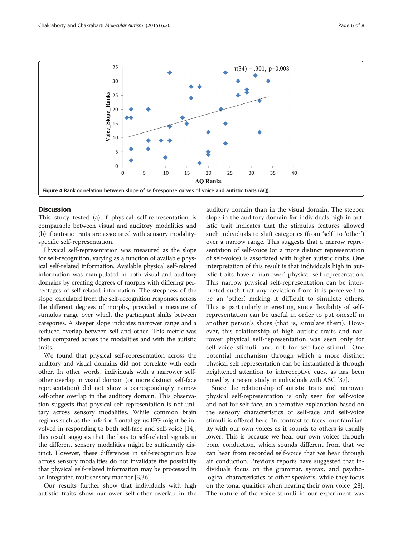<span id="page-5-0"></span>

# **Discussion**

This study tested (a) if physical self-representation is comparable between visual and auditory modalities and (b) if autistic traits are associated with sensory modalityspecific self-representation.

Physical self-representation was measured as the slope for self-recognition, varying as a function of available physical self-related information. Available physical self-related information was manipulated in both visual and auditory domains by creating degrees of morphs with differing percentages of self-related information. The steepness of the slope, calculated from the self-recognition responses across the different degrees of morphs, provided a measure of stimulus range over which the participant shifts between categories. A steeper slope indicates narrower range and a reduced overlap between self and other. This metric was then compared across the modalities and with the autistic traits.

We found that physical self-representation across the auditory and visual domains did not correlate with each other. In other words, individuals with a narrower selfother overlap in visual domain (or more distinct self-face representation) did not show a correspondingly narrow self-other overlap in the auditory domain. This observation suggests that physical self-representation is not unitary across sensory modalities. While common brain regions such as the inferior frontal gyrus IFG might be involved in responding to both self-face and self-voice [[14](#page-6-0)], this result suggests that the bias to self-related signals in the different sensory modalities might be sufficiently distinct. However, these differences in self-recognition bias across sensory modalities do not invalidate the possibility that physical self-related information may be processed in an integrated multisensory manner [\[3](#page-6-0)[,36\]](#page-7-0).

Our results further show that individuals with high autistic traits show narrower self-other overlap in the auditory domain than in the visual domain. The steeper slope in the auditory domain for individuals high in autistic trait indicates that the stimulus features allowed such individuals to shift categories (from 'self' to 'other') over a narrow range. This suggests that a narrow representation of self-voice (or a more distinct representation of self-voice) is associated with higher autistic traits. One interpretation of this result is that individuals high in autistic traits have a 'narrower' physical self-representation. This narrow physical self-representation can be interpreted such that any deviation from it is perceived to be an 'other', making it difficult to simulate others. This is particularly interesting, since flexibility of selfrepresentation can be useful in order to put oneself in another person's shoes (that is, simulate them). However, this relationship of high autistic traits and narrower physical self-representation was seen only for self-voice stimuli, and not for self-face stimuli. One potential mechanism through which a more distinct physical self-representation can be instantiated is through heightened attention to interoceptive cues, as has been noted by a recent study in individuals with ASC [[37](#page-7-0)].

Since the relationship of autistic traits and narrower physical self-representation is only seen for self-voice and not for self-face, an alternative explanation based on the sensory characteristics of self-face and self-voice stimuli is offered here. In contrast to faces, our familiarity with our own voices as it sounds to others is usually lower. This is because we hear our own voices through bone conduction, which sounds different from that we can hear from recorded self-voice that we hear through air conduction. Previous reports have suggested that individuals focus on the grammar, syntax, and psychological characteristics of other speakers, while they focus on the tonal qualities when hearing their own voice [\[28](#page-7-0)]. The nature of the voice stimuli in our experiment was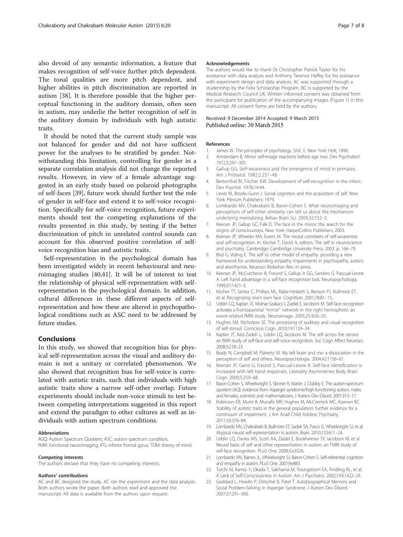<span id="page-6-0"></span>also devoid of any semantic information, a feature that makes recognition of self-voice further pitch dependent. The tonal qualities are more pitch dependent, and higher abilities in pitch discrimination are reported in autism [\[38\]](#page-7-0). It is therefore possible that the higher perceptual functioning in the auditory domain, often seen in autism, may underlie the better recognition of self in the auditory domain by individuals with high autistic traits.

It should be noted that the current study sample was not balanced for gender and did not have sufficient power for the analyses to be stratified by gender. Notwithstanding this limitation, controlling for gender in a separate correlation analysis did not change the reported results. However, in view of a female advantage suggested in an early study based on polaroid photographs of self-faces [[39\]](#page-7-0), future work should further test the role of gender in self-face and extend it to self-voice recognition. Specifically for self-voice recognition, future experiments should test the competing explanations of the results presented in this study, by testing if the better discrimination of pitch in unrelated control sounds can account for this observed positive correlation of selfvoice recognition bias and autistic traits.

Self-representation in the psychological domain has been investigated widely in recent behavioural and neuroimaging studies [[40,41\]](#page-7-0). It will be of interest to test the relationship of physical self-representation with selfrepresentation in the psychological domain. In addition, cultural differences in these different aspects of selfrepresentation and how these are altered in psychopathological conditions such as ASC need to be addressed by future studies.

# Conclusions

In this study, we showed that recognition bias for physical self-representation across the visual and auditory domain is not a unitary or correlated phenomenon. We also showed that recognition bias for self-voice is correlated with autistic traits, such that individuals with high autistic traits show a narrow self-other overlap. Future experiments should include non-voice stimuli to test between competing interpretations suggested in this report and extend the paradigm to other cultures as well as individuals with autism spectrum conditions.

#### Abbreviations

ASQ: Autism Spectrum Quotient; ASC: autism spectrum condition; fMRI: functional neuroimaging; IFG: inferior frontal gyrus; TOM: theory of mind.

#### Competing interests

The authors declare that they have no competing interests.

#### Authors' contributions

AC and BC designed the study. AC ran the experiment and the data analysis. Both authors wrote the paper. Both authors read and approved the manuscript. All data is available from the authors upon request.

#### Acknowledgements

The authors would like to thank Dr Christopher Patrick Taylor for his assistance with data analysis and Anthony Terence Haffey for his assistance with experiment design and data analysis. AC was supported through a studentship by the Felix Scholarship Program. BC is supported by the Medical Research Council UK. Written informed consent was obtained from the participant for publication of the accompanying images (Figure [1](#page-2-0)) in this manuscript. All consent forms are held by the authors.

## Received: 9 December 2014 Accepted: 9 March 2015 Published online: 30 March 2015

#### References

- 1. James W. The principles of psychology. (Vol. I). New York: Holt; 1890.
- 2. Amsterdam B. Mirror self-image reactions before age two. Dev Psychobiol. 1972;5:297–305.
- 3. Gallup GG. Self‐awareness and the emergence of mind in primates. Am J Primatol. 1982;2:237–48.
- 4. Bertenthal BI, Fischer KW. Development of self-recognition in the infant. Dev Psychol. 1978;14:44.
- 5. Lewis M, Brooks-Gunn J. Social cognition and the acquisition of self. New York: Plenum Publishers; 1979.
- 6. Lombardo MV, Chakrabarti B, Baron-Cohen S. What neuroimaging and perceptions of self-other similarity can tell us about the mechanism underlying mentalizing. Behav Brain Sci. 2009;32:152–3.
- 7. Keenan JP, Gallup GC, Falk D. The face in the mirror: the search for the origins of consciousness. New York: HarperCollins Publishers; 2003.
- 8. Keenan JP, Wheeler MA, Ewers M. The neural correlates of self-awareness and self-recognition. In: Kircher T, David A, editors. The self in neuroscience and psychiatry. Cambridge: Cambridge University Press; 2003. p. 166–79.
- 9. Bird G, Viding E. The self to other model of empathy: providing a new framework for understanding empathy impairments in psychopathy, autism, and alexithymia. Neurosci Biobehav Rev. in press.
- 10. Keenan JP, McCutcheon B, Freund S, Gallup Jr GG, Sanders G, Pascual-Leone A. Left hand advantage in a self-face recognition task. Neuropsychologia. 1999;37:1421–5.
- 11. Kircher TT, Senior C, Phillips ML, Rabe-Hesketh S, Benson PJ, Bullmore ET, et al. Recognizing one's own face. Cognition. 2001;78:B1–15.
- 12. Uddin LQ, Kaplan JT, Molnar-Szakacs I, Zaidel E, Iacoboni M. Self-face recognition activates a frontoparietal "mirror" network in the right hemisphere: an event-related fMRI study. Neuroimage. 2005;25:926–35.
- 13. Hughes SM, Nicholson SE. The processing of auditory and visual recognition of self-stimuli. Conscious Cogn. 2010;19:1124–34.
- 14. Kaplan JT, Aziz-Zadeh L, Uddin LQ, Iacoboni M. The self across the senses: an fMRI study of self-face and self-voice recognition. Soc Cogn Affect Neurosci. 2008;3:218–23.
- 15. Brady N, Campbell M, Flaherty M. My left brain and me: a dissociation in the perception of self and others. Neuropsychologia. 2004;42:1156–61.
- 16. Keenan JP, Ganis G, Freund S, Pascual-Leone A. Self-face identification is increased with left hand responses. Laterality Asymmetries Body Brain Cogn. 2000;5:259–68.
- 17. Baron-Cohen S, Wheelwright S, Skinner R, Martin J, Clubley E. The autism-spectrum quotient (AQ): evidence from Asperger syndrome/high-functioning autism, males and females, scientists and mathematicians. J Autism Dev Disord. 2001;31:5–17.
- 18. Robinson EB, Munir K, Munafò MR, Hughes M, McCormick MC, Koenen KC. Stability of autistic traits in the general population: further evidence for a continuum of impairment. J Am Acad Child Adolesc Psychiatry. 2011;50:376–84.
- 19. Lombardo MV, Chakrabarti B, Bullmore ET, Sadek SA, Pasco G, Wheelwright SJ, et al. Atypical neural self-representation in autism. Brain. 2010;133:611–24.
- 20. Uddin LQ, Davies MS, Scott AA, Zaidel E, Bookheimer SY, Iacoboni M, et al. Neural basis of self and other representation in autism: an FMRI study of self-face recognition. PLoS One. 2008;3:e3526.
- 21. Lombardo MV, Barnes JL, Wheelwright SJ, Baron-Cohen S. Self-referential cognition and empathy in autism. PLoS One. 2007;9:e883.
- 22. Toichi M, Kamio Y, Okada T, Sakihama M, Youngstrom EA, Findling RL, et al. A Lack of Self-Consciousness in Autism. Am J Psychiatry. 2002;159:1422–24.
- 23. Goddard L, Howlin P, Dritschel B, Patel T. Autobiographical Memory and Social Problem-Solving in Asperger Syndrome. J Autism Dev Disord. 2007;37:291–300.